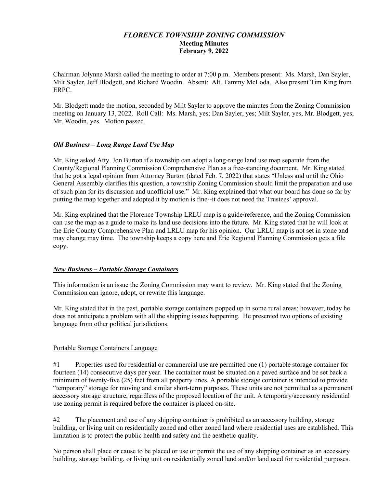## *FLORENCE TOWNSHIP ZONING COMMISSION* **Meeting Minutes February 9, 2022**

Chairman Jolynne Marsh called the meeting to order at 7:00 p.m. Members present: Ms. Marsh, Dan Sayler, Milt Sayler, Jeff Blodgett, and Richard Woodin. Absent: Alt. Tammy McLoda. Also present Tim King from ERPC.

Mr. Blodgett made the motion, seconded by Milt Sayler to approve the minutes from the Zoning Commission meeting on January 13, 2022. Roll Call: Ms. Marsh, yes; Dan Sayler, yes; Milt Sayler, yes, Mr. Blodgett, yes; Mr. Woodin, yes. Motion passed.

## *Old Business – Long Range Land Use Map*

Mr. King asked Atty. Jon Burton if a township can adopt a long-range land use map separate from the County/Regional Planning Commission Comprehensive Plan as a free-standing document. Mr. King stated that he got a legal opinion from Attorney Burton (dated Feb. 7, 2022) that states "Unless and until the Ohio General Assembly clarifies this question, a township Zoning Commission should limit the preparation and use of such plan for its discussion and unofficial use." Mr. King explained that what our board has done so far by putting the map together and adopted it by motion is fine--it does not need the Trustees' approval.

Mr. King explained that the Florence Township LRLU map is a guide/reference, and the Zoning Commission can use the map as a guide to make its land use decisions into the future. Mr. King stated that he will look at the Erie County Comprehensive Plan and LRLU map for his opinion. Our LRLU map is not set in stone and may change may time. The township keeps a copy here and Erie Regional Planning Commission gets a file copy.

## *New Business – Portable Storage Containers*

This information is an issue the Zoning Commission may want to review. Mr. King stated that the Zoning Commission can ignore, adopt, or rewrite this language.

Mr. King stated that in the past, portable storage containers popped up in some rural areas; however, today he does not anticipate a problem with all the shipping issues happening. He presented two options of existing language from other political jurisdictions.

## Portable Storage Containers Language

#1 Properties used for residential or commercial use are permitted one (1) portable storage container for fourteen (14) consecutive days per year. The container must be situated on a paved surface and be set back a minimum of twenty-five (25) feet from all property lines. A portable storage container is intended to provide "temporary" storage for moving and similar short-term purposes. These units are not permitted as a permanent accessory storage structure, regardless of the proposed location of the unit. A temporary/accessory residential use zoning permit is required before the container is placed on-site.

#2 The placement and use of any shipping container is prohibited as an accessory building, storage building, or living unit on residentially zoned and other zoned land where residential uses are established. This limitation is to protect the public health and safety and the aesthetic quality.

No person shall place or cause to be placed or use or permit the use of any shipping container as an accessory building, storage building, or living unit on residentially zoned land and/or land used for residential purposes.